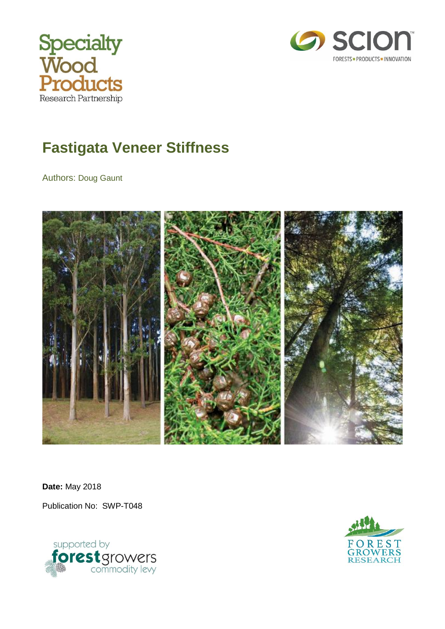



# <span id="page-0-0"></span>**Fastigata Veneer Stiffness**

Authors: Doug Gaunt



**Date:** May 2018

Publication No: SWP-T048



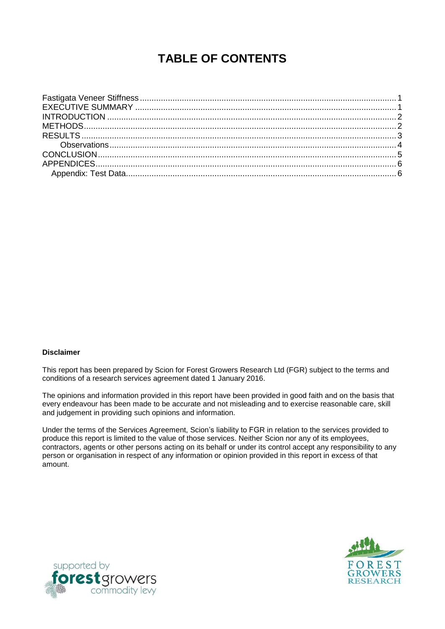# **TABLE OF CONTENTS**

#### **Disclaimer**

This report has been prepared by Scion for Forest Growers Research Ltd (FGR) subject to the terms and conditions of a research services agreement dated 1 January 2016.

The opinions and information provided in this report have been provided in good faith and on the basis that every endeavour has been made to be accurate and not misleading and to exercise reasonable care, skill and judgement in providing such opinions and information.

Under the terms of the Services Agreement, Scion's liability to FGR in relation to the services provided to produce this report is limited to the value of those services. Neither Scion nor any of its employees, contractors, agents or other persons acting on its behalf or under its control accept any responsibility to any person or organisation in respect of any information or opinion provided in this report in excess of that amount.



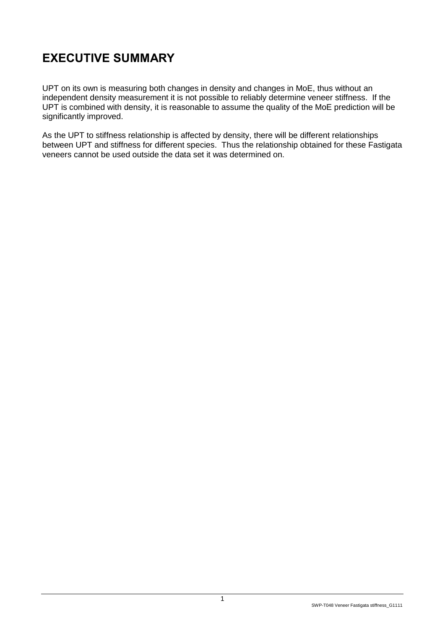# <span id="page-2-0"></span>**EXECUTIVE SUMMARY**

UPT on its own is measuring both changes in density and changes in MoE, thus without an independent density measurement it is not possible to reliably determine veneer stiffness. If the UPT is combined with density, it is reasonable to assume the quality of the MoE prediction will be significantly improved.

As the UPT to stiffness relationship is affected by density, there will be different relationships between UPT and stiffness for different species. Thus the relationship obtained for these Fastigata veneers cannot be used outside the data set it was determined on.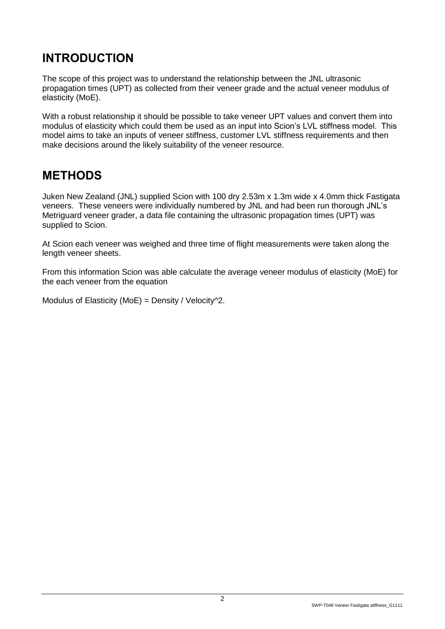# <span id="page-3-0"></span>**INTRODUCTION**

The scope of this project was to understand the relationship between the JNL ultrasonic propagation times (UPT) as collected from their veneer grade and the actual veneer modulus of elasticity (MoE).

With a robust relationship it should be possible to take veneer UPT values and convert them into modulus of elasticity which could them be used as an input into Scion's LVL stiffness model. This model aims to take an inputs of veneer stiffness, customer LVL stiffness requirements and then make decisions around the likely suitability of the veneer resource.

#### <span id="page-3-1"></span>**METHODS**

Juken New Zealand (JNL) supplied Scion with 100 dry 2.53m x 1.3m wide x 4.0mm thick Fastigata veneers. These veneers were individually numbered by JNL and had been run thorough JNL's Metriguard veneer grader, a data file containing the ultrasonic propagation times (UPT) was supplied to Scion.

At Scion each veneer was weighed and three time of flight measurements were taken along the length veneer sheets.

From this information Scion was able calculate the average veneer modulus of elasticity (MoE) for the each veneer from the equation

Modulus of Elasticity (MoE) = Density / Velocity $\sqrt{2}$ .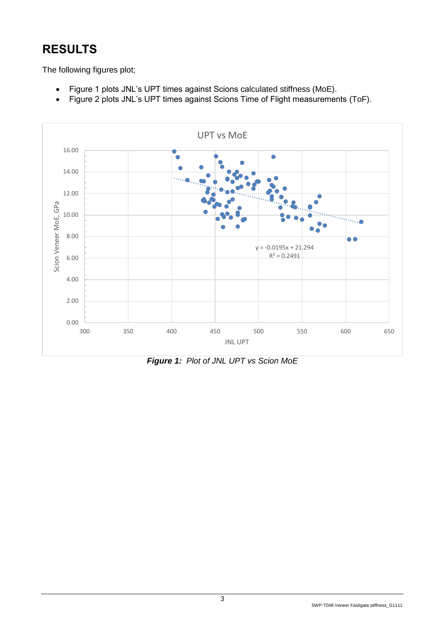# <span id="page-4-0"></span>**RESULTS**

The following figures plot;

- Figure 1 plots JNL's UPT times against Scions calculated stiffness (MoE).
- Figure 2 plots JNL's UPT times against Scions Time of Flight measurements (ToF).



*Figure 1: Plot of JNL UPT vs Scion MoE*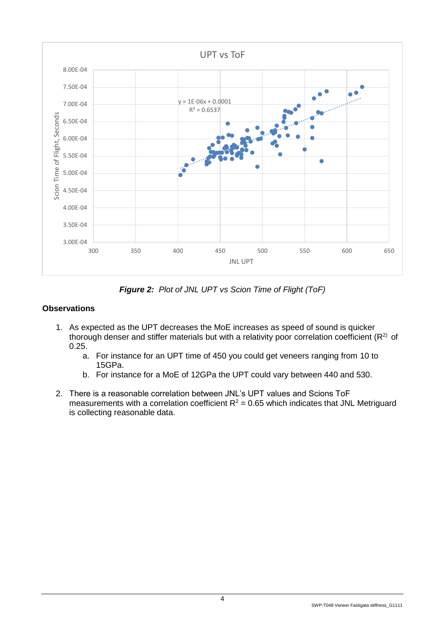

*Figure 2: Plot of JNL UPT vs Scion Time of Flight (ToF)*

#### <span id="page-5-0"></span>**Observations**

- 1. As expected as the UPT decreases the MoE increases as speed of sound is quicker thorough denser and stiffer materials but with a relativity poor correlation coefficient ( $R<sup>2</sup>$ ) of 0.25.
	- a. For instance for an UPT time of 450 you could get veneers ranging from 10 to 15GPa.
	- b. For instance for a MoE of 12GPa the UPT could vary between 440 and 530.
- 2. There is a reasonable correlation between JNL's UPT values and Scions ToF measurements with a correlation coefficient  $R^2$  = 0.65 which indicates that JNL Metriguard is collecting reasonable data.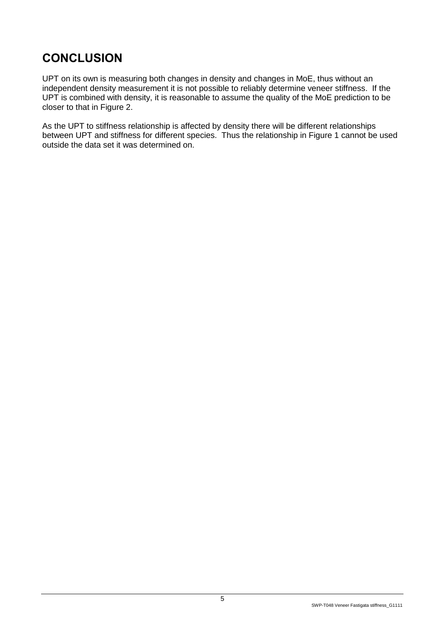# <span id="page-6-0"></span>**CONCLUSION**

UPT on its own is measuring both changes in density and changes in MoE, thus without an independent density measurement it is not possible to reliably determine veneer stiffness. If the UPT is combined with density, it is reasonable to assume the quality of the MoE prediction to be closer to that in Figure 2.

As the UPT to stiffness relationship is affected by density there will be different relationships between UPT and stiffness for different species. Thus the relationship in Figure 1 cannot be used outside the data set it was determined on.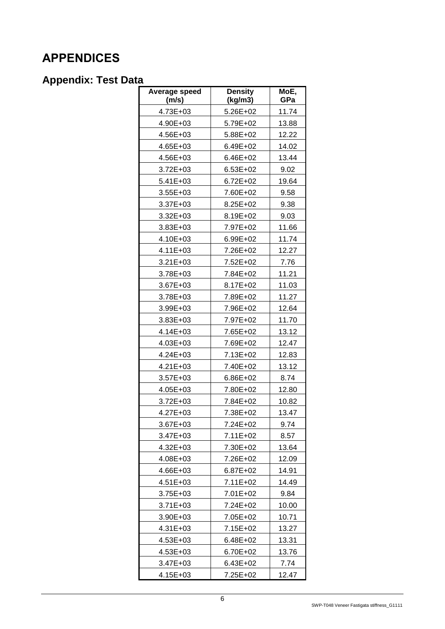# <span id="page-7-0"></span>**APPENDICES**

#### <span id="page-7-1"></span>**Appendix: Test Data**

| Average speed<br>(m/s) | <b>Density</b><br>(kg/m3) | MoE,<br>GPa |
|------------------------|---------------------------|-------------|
| 4.73E+03               | 5.26E+02                  | 11.74       |
| 4.90E+03               | 5.79E+02                  | 13.88       |
| 4.56E+03               | 5.88E+02                  | 12.22       |
| 4.65E+03               | 6.49E+02                  | 14.02       |
| 4.56E+03               | 6.46E+02                  | 13.44       |
| 3.72E+03               | 6.53E+02                  | 9.02        |
| 5.41E+03               | 6.72E+02                  | 19.64       |
| $3.55E + 03$           | 7.60E+02                  | 9.58        |
| 3.37E+03               | 8.25E+02                  | 9.38        |
| 3.32E+03               | 8.19E+02                  | 9.03        |
| 3.83E+03               | 7.97E+02                  | 11.66       |
| 4.10E+03               | 6.99E+02                  | 11.74       |
| $4.11E + 03$           | 7.26E+02                  | 12.27       |
| 3.21E+03               | 7.52E+02                  | 7.76        |
| 3.78E+03               | 7.84E+02                  | 11.21       |
| 3.67E+03               | 8.17E+02                  | 11.03       |
| 3.78E+03               | 7.89E+02                  | 11.27       |
| 3.99E+03               | 7.96E+02                  | 12.64       |
| 3.83E+03               | 7.97E+02                  | 11.70       |
| 4.14E+03               | 7.65E+02                  | 13.12       |
| 4.03E+03               | 7.69E+02                  | 12.47       |
| 4.24E+03               | 7.13E+02                  | 12.83       |
| 4.21E+03               | 7.40E+02                  | 13.12       |
| 3.57E+03               | 6.86E+02                  | 8.74        |
| 4.05E+03               | 7.80E+02                  | 12.80       |
| 3.72E+03               | 7.84E+02                  | 10.82       |
| 4.27E+03               | 7.38E+02                  | 13.47       |
| 3.67E+03               | 7.24E+02                  | 9.74        |
| 3.47E+03               | 7.11E+02                  | 8.57        |
| 4.32E+03               | 7.30E+02                  | 13.64       |
| 4.08E+03               | 7.26E+02                  | 12.09       |
| 4.66E+03               | 6.87E+02                  | 14.91       |
| 4.51E+03               | 7.11E+02                  | 14.49       |
| 3.75E+03               | 7.01E+02                  | 9.84        |
| 3.71E+03               | 7.24E+02                  | 10.00       |
| 3.90E+03               | 7.05E+02                  | 10.71       |
| 4.31E+03               | 7.15E+02                  | 13.27       |
| 4.53E+03               | 6.48E+02                  | 13.31       |
| 4.53E+03               | 6.70E+02                  | 13.76       |
| 3.47E+03               | 6.43E+02                  | 7.74        |
| 4.15E+03               | 7.25E+02                  | 12.47       |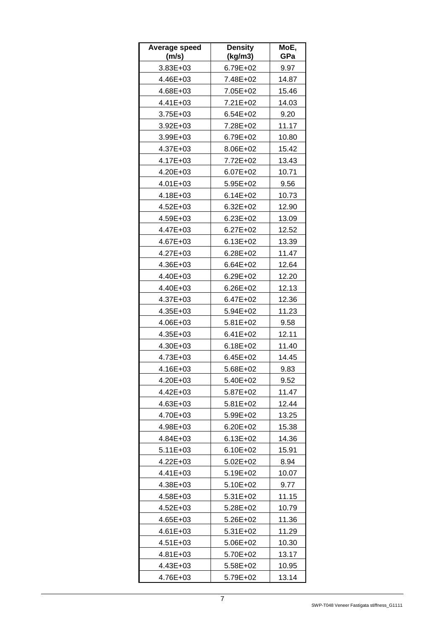| Average speed<br>(m/s) | <b>Density</b><br>(kg/m3) | MoE,<br>GPa |
|------------------------|---------------------------|-------------|
| 3.83E+03               | 6.79E+02                  | 9.97        |
| 4.46E+03               | 7.48E+02                  | 14.87       |
| 4.68E+03               | 7.05E+02                  | 15.46       |
| 4.41E+03               | 7.21E+02                  | 14.03       |
| 3.75E+03               | $6.54E + 02$              | 9.20        |
| 3.92E+03               | 7.28E+02                  | 11.17       |
| 3.99E+03               | 6.79E+02                  | 10.80       |
| 4.37E+03               | 8.06E+02                  | 15.42       |
| 4.17E+03               | 7.72E+02                  | 13.43       |
| 4.20E+03               | 6.07E+02                  | 10.71       |
| 4.01E+03               | 5.95E+02                  | 9.56        |
| 4.18E+03               | $6.14E + 02$              | 10.73       |
| 4.52E+03               | 6.32E+02                  | 12.90       |
| 4.59E+03               | 6.23E+02                  | 13.09       |
| 4.47E+03               | $6.27E + 02$              | 12.52       |
| 4.67E+03               | 6.13E+02                  | 13.39       |
| 4.27E+03               | 6.28E+02                  | 11.47       |
| 4.36E+03               | 6.64E+02                  | 12.64       |
| 4.40E+03               | 6.29E+02                  | 12.20       |
| 4.40E+03               | 6.26E+02                  | 12.13       |
| 4.37E+03               | 6.47E+02                  | 12.36       |
| 4.35E+03               | 5.94E+02                  | 11.23       |
| 4.06E+03               | 5.81E+02                  | 9.58        |
| 4.35E+03               | $6.41E + 02$              | 12.11       |
| 4.30E+03               | 6.18E+02                  | 11.40       |
| 4.73E+03               | 6.45E+02                  | 14.45       |
| 4.16E+03               | 5.68E+02                  | 9.83        |
| 4.20E+03               | 5.40E+02                  | 9.52        |
| 4.42E+03               | 5.87E+02                  | 11.47       |
| 4.63E+03               | 5.81E+02                  | 12.44       |
| 4.70E+03               | 5.99E+02                  | 13.25       |
| 4.98E+03               | 6.20E+02                  | 15.38       |
| 4.84E+03               | 6.13E+02                  | 14.36       |
| 5.11E+03               | 6.10E+02                  | 15.91       |
| 4.22E+03               | 5.02E+02                  | 8.94        |
| 4.41E+03               | 5.19E+02                  | 10.07       |
| 4.38E+03               | 5.10E+02                  | 9.77        |
| 4.58E+03               | 5.31E+02                  | 11.15       |
| 4.52E+03               | 5.28E+02                  | 10.79       |
| 4.65E+03               | 5.26E+02                  | 11.36       |
| 4.61E+03               | 5.31E+02                  | 11.29       |
| 4.51E+03               | 5.06E+02                  | 10.30       |
| 4.81E+03               | 5.70E+02                  | 13.17       |
| 4.43E+03               | 5.58E+02                  | 10.95       |
| 4.76E+03               | 5.79E+02                  | 13.14       |